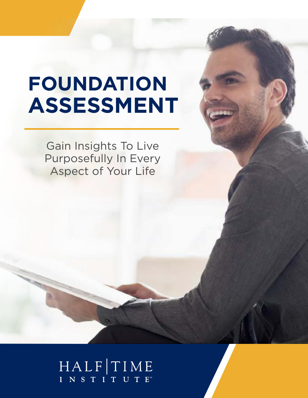# **FOUNDATION ASSESSMENT**

Gain Insights To Live Purposefully In Every Aspect of Your Life

# HALFTIME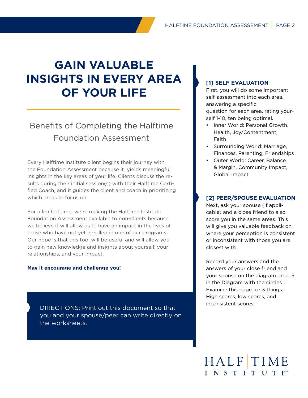# **GAIN VALUABLE INSIGHTS IN EVERY AREA OF YOUR LIFE**

# Benefits of Completing the Halftime Foundation Assessment

Every Halftime Institute client begins their journey with the Foundation Assessment because it yields meaningful insights in the key areas of your life. Clients discuss the results during their initial session(s) with their Halftime Certified Coach, and it guides the client and coach in prioritizing which areas to focus on.

For a limited time, we're making the Halftime Institute Foundation Assessment available to non-clients because we believe it will allow us to have an impact in the lives of those who have not yet enrolled in one of our programs. Our hope is that this tool will be useful and will allow you to gain new knowledge and insights about yourself, your relationships, and your impact.

## **May it encourage and challenge you!**

DIRECTIONS: Print out this document so that you and your spouse/peer can write directly on the worksheets.

# **[1] SELF EVALUATION**

First, you will do some important self-assessment into each area, answering a specific question for each area, rating yourself 1-10, ten being optimal.

- Inner World: Personal Growth, Health, Joy/Contentment, Faith
- Surrounding World: Marriage, Finances, Parenting, Friendships
- Outer World: Career, Balance & Margin, Community Impact, Global Impact

# **[2] PEER/SPOUSE EVALUATION**

Next, ask your spouse (if applicable) and a close friend to also score you in the same areas. This will give you valuable feedback on where your perception is consistent or inconsistent with those you are closest with.

Record your answers and the answers of your close friend and your spouse on the diagram on p. 5 in the Diagram with the circles. Examine this page for 3 things: High scores, low scores, and inconsistent scores.

# HALFTIME INSTITUTE<sup>®</sup>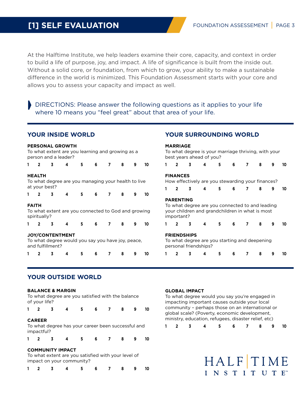# **[1] SELF EVALUATION**

At the Halftime Institute, we help leaders examine their core, capacity, and context in order to build a life of purpose, joy, and impact. A life of significance is built from the inside out. Without a solid core, or foundation, from which to grow, your ability to make a sustainable difference in the world is minimized. This Foundation Assessment starts with your core and allows you to assess your capacity and impact as well.

DIRECTIONS: Please answer the following questions as it applies to your life where 10 means you "feel great" about that area of your life.

## **YOUR INSIDE WORLD**

#### **PERSONAL GROWTH**

To what extent are you learning and growing as a person and a leader? **1 2 3 4 5 6 7 8 9 10**

#### **HEALTH**

To what degree are you managing your health to live at your best? **1 2 3 4 5 6 7 8 9 10**

#### **FAITH**

To what extent are you connected to God and growing spiritually?

|  |                        | -6 | - 8 |  |
|--|------------------------|----|-----|--|
|  | <b>JOY/CONTENTMENT</b> |    |     |  |

To what degree would you say you have joy, peace, and fulfillment?

**1 2 3 4 5 6 7 8 9 10**

# **YOUR SURROUNDING WORLD**

| 1 | $\mathbf{p}$     | 3 | 4                                                                                                  | 5  | 6 | 7 | 8 | 9 |  |
|---|------------------|---|----------------------------------------------------------------------------------------------------|----|---|---|---|---|--|
|   | <b>FINANCES</b>  |   |                                                                                                    |    |   |   |   |   |  |
|   |                  |   | How effectively are you stewarding your finances?                                                  |    |   |   |   |   |  |
| 1 | $\overline{2}$   | 3 | 4                                                                                                  | 5. | 6 | 7 | 8 | 9 |  |
|   | <b>PARENTING</b> |   |                                                                                                    |    |   |   |   |   |  |
|   | important?       |   | To what degree are you connected to and leading<br>your children and grandchildren in what is most |    |   |   |   |   |  |
| 1 | $\overline{2}$   | 3 | 4                                                                                                  | 5  | 6 | 7 | 8 | 9 |  |

**1 2 3 4 5 6 7 8 9 10**

# **YOUR OUTSIDE WORLD**

#### **BALANCE & MARGIN**

To what degree are you satisfied with the balance of your life?

| $1 \quad 2$ |                             | $\overline{\mathbf{3}}$ | $\overline{4}$                                     | 5 | 6 | $\overline{7}$ | - 8 | 10 |
|-------------|-----------------------------|-------------------------|----------------------------------------------------|---|---|----------------|-----|----|
|             | <b>CAREER</b><br>impactful? |                         | To what degree has your career been successful and |   |   |                |     |    |

|  | 1 2 3 4 5 6 7 8 9 10 |  |  |  |
|--|----------------------|--|--|--|
|  |                      |  |  |  |

### **COMMUNITY IMPACT**

To what extent are you satisfied with your level of impact on your community?

|  | 1 2 3 4 5 6 7 8 9 10 |  |  |  |
|--|----------------------|--|--|--|
|  |                      |  |  |  |

### **GLOBAL IMPACT**

To what degree would you say you're engaged in impacting important causes outside your local community – perhaps those on an international or global scale? (Poverty, economic development, ministry, education, refugees, disaster relief, etc)

|  |  | 1 2 3 4 5 6 7 8 9 10 |  |  |  |
|--|--|----------------------|--|--|--|
|  |  |                      |  |  |  |

HALFTIME INSTITUTE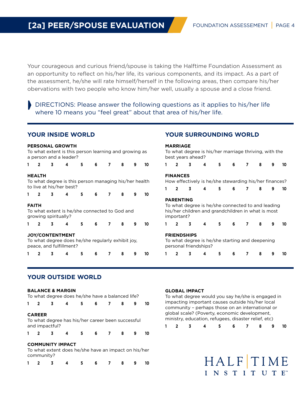Your courageous and curious friend/spouse is taking the Halftime Foundation Assessment as an opportunity to reflect on his/her life, its various components, and its impact. As a part of the assessment, he/she will rate himself/herself in the following areas, then compare his/her obervations with two people who know him/her well, usually a spouse and a close friend.

DIRECTIONS: Please answer the following questions as it applies to his/her life where 10 means you "feel great" about that area of his/her life.

# **YOUR INSIDE WORLD**

|              | <b>PERSONAL GROWTH</b><br>To what extent is this person learning and growing as<br>a person and a leader?<br>5.<br>6<br>8<br>9 |                      |                                               |    |   |  |   |   |    |  | <b>MARRIAGE</b>                | best years ahead?  | To what degree is his/her marriage thriving, with the                                                   |    |   |   |   |   |    |
|--------------|--------------------------------------------------------------------------------------------------------------------------------|----------------------|-----------------------------------------------|----|---|--|---|---|----|--|--------------------------------|--------------------|---------------------------------------------------------------------------------------------------------|----|---|---|---|---|----|
|              |                                                                                                                                |                      |                                               |    |   |  |   |   | 10 |  |                                |                    | 4                                                                                                       | 5  | 6 |   |   | 9 | 10 |
|              | <b>HEALTH</b><br>To what degree is this person managing his/her health<br>to live at his/her best?                             |                      |                                               |    |   |  |   |   |    |  | <b>FINANCES</b>                |                    | How effectively is he/she stewarding his/her finances?                                                  |    |   |   |   |   |    |
|              | $\overline{2}$                                                                                                                 |                      |                                               | 5. | 6 |  | 8 | 9 | 10 |  |                                | 3                  | 4                                                                                                       | 5. | 6 | 7 | 8 | 9 | 10 |
| <b>FAITH</b> |                                                                                                                                | growing spiritually? | To what extent is he/she connected to God and |    |   |  |   |   |    |  | <b>PARENTING</b><br>important? |                    | To what degree is he/she connected to and leading<br>his/her children and grandchildren in what is most |    |   |   |   |   |    |
|              |                                                                                                                                | 3                    |                                               | 5. | 6 |  | 8 | 9 | 10 |  | $\overline{2}$                 | 3                  | 4                                                                                                       | 5  | 6 | 7 | 8 | 9 | 10 |
|              | <b>JOY/CONTENTMENT</b><br>To what degree does he/she regularly exhibit joy,<br>peace, and fulfillment?                         |                      |                                               |    |   |  |   |   |    |  |                                | <b>FRIENDSHIPS</b> | To what degree is he/she starting and deepening<br>personal friendships?                                |    |   |   |   |   |    |
|              |                                                                                                                                |                      |                                               |    | 6 |  | 8 |   | 10 |  |                                |                    |                                                                                                         |    | 6 |   |   | 9 | 10 |

# **YOUR OUTSIDE WORLD**

#### **BALANCE & MARGIN** To what degree does he/she have a balanced life?

| TO Wridt degree does he/she have a balanced life. |                         |                                                      |   |   |                |   |   |    |
|---------------------------------------------------|-------------------------|------------------------------------------------------|---|---|----------------|---|---|----|
| $\overline{2}$                                    | 3                       | 4                                                    | 5 | 6 | 7              | 8 | 9 | 10 |
| <b>CAREER</b><br>and impactful?                   |                         | To what degree has his/her career been successful    |   |   |                |   |   |    |
| $\overline{2}$                                    | 3                       | 4                                                    | 5 | 6 | $\overline{7}$ | 8 | 9 | 10 |
| community?                                        | <b>COMMUNITY IMPACT</b> | To what extent does he/she have an impact on his/her |   |   |                |   |   |    |
|                                                   | 3                       |                                                      | 5 | 6 | 7              | 8 | 9 | 10 |

### **GLOBAL IMPACT**

To what degree would you say he/she is engaged in impacting important causes outside his/her local community – perhaps those on an international or global scale? (Poverty, economic development, ministry, education, refugees, disaster relief, etc)

**YOUR SURROUNDING WORLD**

|  | 1 2 3 4 5 6 7 8 9 10 |  |  |  |
|--|----------------------|--|--|--|
|  |                      |  |  |  |

HALFTIME INSTITUTE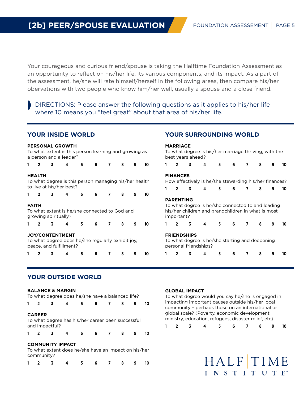Your courageous and curious friend/spouse is taking the Halftime Foundation Assessment as an opportunity to reflect on his/her life, its various components, and its impact. As a part of the assessment, he/she will rate himself/herself in the following areas, then compare his/her obervations with two people who know him/her well, usually a spouse and a close friend.

DIRECTIONS: Please answer the following questions as it applies to his/her life where 10 means you "feel great" about that area of his/her life.

# **YOUR INSIDE WORLD**

#### **PERSONAL GROWTH** To what extent is this person learning and growing as a person and a leader? **1 2 3 4 5 6 7 8 9 10 HEALTH** To what degree is this person managing his/her health to live at his/her best? **1 2 3 4 5 6 7 8 9 10 FAITH** To what extent is he/she connected to God and growing spiritually? **1 2 3 4 5 6 7 8 9 10 JOY/CONTENTMENT** To what degree does he/she regularly exhibit joy, peace, and fulfillment? **1 2 3 4 5 6 7 8 9 10 MARRIAGE** To what degree is his/her marriage thriving, with the best years ahead? **1 2 3 4 5 6 7 8 9 10 FINANCES** How effectively is he/she stewarding his/her finances? **1 2 3 4 5 6 7 8 9 10 PARENTING** To what degree is he/she connected to and leading his/her children and grandchildren in what is most important? **1 2 3 4 5 6 7 8 9 10 FRIENDSHIPS** To what degree is he/she starting and deepening personal friendships? **1 2 3 4 5 6 7 8 9 10**

# **YOUR OUTSIDE WORLD**

#### **BALANCE & MARGIN** To what degree does he/she have a balanced life?

| TO Wridt degree does he/she have a balanced life. |                         |                                                      |    |   |   |   |   |    |
|---------------------------------------------------|-------------------------|------------------------------------------------------|----|---|---|---|---|----|
| $\overline{2}$                                    | 3                       | 4                                                    | 5. | 6 | 7 | 8 | 9 | 10 |
| <b>CAREER</b><br>and impactful?                   |                         | To what degree has his/her career been successful    |    |   |   |   |   |    |
| $\overline{2}$                                    | 3                       | 4                                                    | 5  | 6 | 7 | 8 | 9 | 10 |
| community?                                        | <b>COMMUNITY IMPACT</b> | To what extent does he/she have an impact on his/her |    |   |   |   |   |    |
|                                                   |                         |                                                      | 5  | 6 | 7 | 8 | 9 | 10 |

## **GLOBAL IMPACT**

To what degree would you say he/she is engaged in impacting important causes outside his/her local community – perhaps those on an international or global scale? (Poverty, economic development, ministry, education, refugees, disaster relief, etc)

**YOUR SURROUNDING WORLD**

|  | 1 2 3 4 5 6 7 8 9 10 |  |  |  |
|--|----------------------|--|--|--|
|  |                      |  |  |  |

HALFTIME INSTITUTE<sup>®</sup>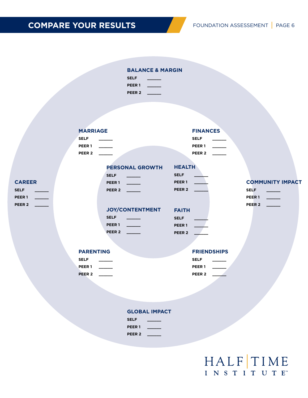# **COMPARE YOUR RESULTS** FOUNDATION ASSESSEMENT | PAGE 6

## **BALANCE & MARGIN**

| <b>SELF</b>       |  |
|-------------------|--|
| <b>PEER1</b>      |  |
| PEER <sub>2</sub> |  |

| <b>MARRIAGE</b> |  |  |
|-----------------|--|--|
|                 |  |  |

**CAREER SELF \_\_\_\_\_\_ PEER 1 \_\_\_\_\_\_ PEER 2 \_\_\_\_\_\_**

| <b>SELF</b>   |  | <b>SELF</b>       |  |
|---------------|--|-------------------|--|
| <b>PEER 1</b> |  | PEER <sub>1</sub> |  |
| <b>PEER 2</b> |  | PEER <sub>2</sub> |  |

**PERSONAL GROWTH**

| <b>SELF</b>       | <b>SELF</b>       |  |
|-------------------|-------------------|--|
| PEER <sub>1</sub> | PEER <sub>1</sub> |  |
| PEER <sub>2</sub> | PEER <sub>2</sub> |  |

**FAITH SELF \_\_\_\_\_\_ PEER 1 \_\_\_\_\_\_ PEER 2 \_\_\_\_\_\_**

**HEALTH**

## **JOY/CONTENTMENT**

| <b>SELF</b>       |  |
|-------------------|--|
| PEER <sub>1</sub> |  |
| PEER <sub>2</sub> |  |

# **FRIENDSHIPS**

| SELF              |  |
|-------------------|--|
| <b>PEER1</b>      |  |
| PEER <sub>2</sub> |  |

# **COMMUNITY IMPACT SELF \_\_\_\_\_\_**

| SELF          |  |
|---------------|--|
| PEER 1        |  |
| <b>PEER 2</b> |  |

# **PEER 1 \_\_\_\_\_\_ PEER 2 \_\_\_\_\_\_**

**PARENTING SELF \_\_\_\_\_\_**

**FINANCES**

| <b>PEER1</b>      |  |
|-------------------|--|
| PEER <sub>2</sub> |  |

# **GLOBAL IMPACT**

| <b>SELF</b>       |  |
|-------------------|--|
| <b>PEER1</b>      |  |
| PEER <sub>2</sub> |  |

# HALFTIME INSTITUTE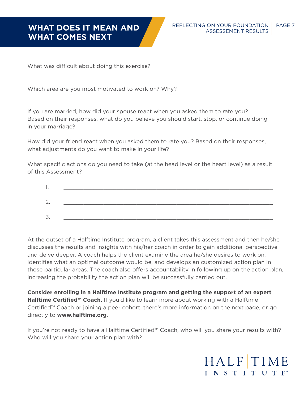# **WHAT COMES NEXT**

What was difficult about doing this exercise?

Which area are you most motivated to work on? Why?

If you are married, how did your spouse react when you asked them to rate you? Based on their responses, what do you believe you should start, stop, or continue doing in your marriage?

How did your friend react when you asked them to rate you? Based on their responses, what adjustments do you want to make in your life?

What specific actions do you need to take (at the head level or the heart level) as a result of this Assessment?

| ້ |  |
|---|--|

At the outset of a Halftime Institute program, a client takes this assessment and then he/she discusses the results and insights with his/her coach in order to gain additional perspective and delve deeper. A coach helps the client examine the area he/she desires to work on, identifies what an optimal outcome would be, and develops an customized action plan in those particular areas. The coach also offers accountability in following up on the action plan, increasing the probability the action plan will be successfully carried out.

**Consider enrolling in a Halftime Institute program and getting the support of an expert Halftime Certified™ Coach.** If you'd like to learn more about working with a Halftime Certified™ Coach or joining a peer cohort, there's more information on the next page, or go directly to **www.halftime.org**.

If you're not ready to have a Halftime Certified™ Coach, who will you share your results with? Who will you share your action plan with?

# HALFTIME INSTITUTE<sup>®</sup>